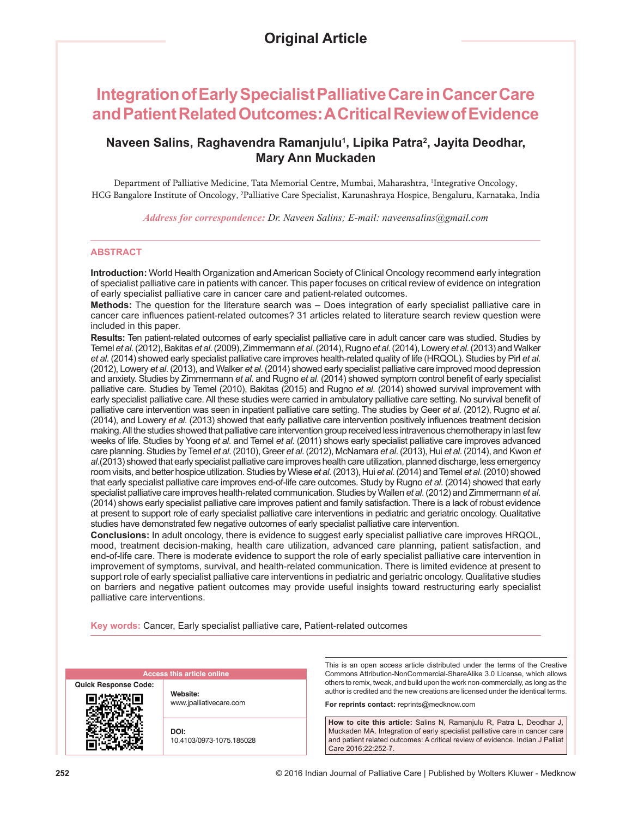# **Integration of Early Specialist Palliative Care in Cancer Care and Patient Related Outcomes: A Critical Review of Evidence**

# **Naveen Salins, Raghavendra Ramanjulu1 , Lipika Patra2 , Jayita Deodhar, Mary Ann Muckaden**

Department of Palliative Medicine, Tata Memorial Centre, Mumbai, Maharashtra, <sup>1</sup>Integrative Oncology, HCG Bangalore Institute of Oncology, 2 Palliative Care Specialist, Karunashraya Hospice, Bengaluru, Karnataka, India

*Address for correspondence: Dr. Naveen Salins; E‑mail: naveensalins@gmail.com*

# **ABSTRACT**

**Introduction:** World Health Organization and American Society of Clinical Oncology recommend early integration of specialist palliative care in patients with cancer. This paper focuses on critical review of evidence on integration of early specialist palliative care in cancer care and patient-related outcomes.

**Methods:** The question for the literature search was – Does integration of early specialist palliative care in cancer care influences patient‑related outcomes? 31 articles related to literature search review question were included in this paper.

**Results:** Ten patient-related outcomes of early specialist palliative care in adult cancer care was studied. Studies by Temel *et al*. (2012), Bakitas *et al*. (2009), Zimmermann *et al*. (2014), Rugno *et al*. (2014), Lowery *et al*. (2013) and Walker *et al*. (2014) showed early specialist palliative care improves health-related quality of life (HRQOL). Studies by Pirl *et al*. (2012), Lowery *et al*. (2013), and Walker *et al*. (2014) showed early specialist palliative care improved mood depression and anxiety. Studies by Zimmermann *et al*. and Rugno *et al*. (2014) showed symptom control benefit of early specialist palliative care. Studies by Temel (2010), Bakitas (2015) and Rugno *et al*. (2014) showed survival improvement with early specialist palliative care. All these studies were carried in ambulatory palliative care setting. No survival benefit of palliative care intervention was seen in inpatient palliative care setting. The studies by Geer *et al*. (2012), Rugno *et al*. (2014), and Lowery *et al*. (2013) showed that early palliative care intervention positively influences treatment decision making. All the studies showed that palliative care intervention group received less intravenous chemotherapy in last few weeks of life. Studies by Yoong *et al*. and Temel *et al*. (2011) shows early specialist palliative care improves advanced care planning. Studies by Temel *et al*. (2010), Greer *et al*. (2012), McNamara *et al*. (2013), Hui *et al*. (2014), and Kwon *et al*.(2013) showed that early specialist palliative care improves health care utilization, planned discharge, less emergency room visits, and better hospice utilization. Studies by Wiese *et al*. (2013), Hui *et al*. (2014) and Temel *et al*. (2010) showed that early specialist palliative care improves end-of-life care outcomes. Study by Rugno *et al*. (2014) showed that early specialist palliative care improves health-related communication. Studies by Wallen *et al*. (2012) and Zimmermann *et al*. (2014) shows early specialist palliative care improves patient and family satisfaction. There is a lack of robust evidence at present to support role of early specialist palliative care interventions in pediatric and geriatric oncology. Qualitative studies have demonstrated few negative outcomes of early specialist palliative care intervention.

**Conclusions:** In adult oncology, there is evidence to suggest early specialist palliative care improves HRQOL, mood, treatment decision-making, health care utilization, advanced care planning, patient satisfaction, and end-of-life care. There is moderate evidence to support the role of early specialist palliative care intervention in improvement of symptoms, survival, and health-related communication. There is limited evidence at present to support role of early specialist palliative care interventions in pediatric and geriatric oncology. Qualitative studies on barriers and negative patient outcomes may provide useful insights toward restructuring early specialist palliative care interventions.

**Key words:** Cancer, Early specialist palliative care, Patient-related outcomes

| <b>Access this article online</b> |                                     |
|-----------------------------------|-------------------------------------|
| <b>Quick Response Code:</b>       |                                     |
|                                   | Website:<br>www.jpalliativecare.com |
|                                   | DOI:<br>10.4103/0973-1075.185028    |

Commons Attribution-NonCommercial-ShareAlike 3.0 License, which allows others to remix, tweak, and build upon the work non-commercially, as long as the author is credited and the new creations are licensed under the identical terms.

**For reprints contact:** reprints@medknow.com

**How to cite this article:** Salins N, Ramanjulu R, Patra L, Deodhar J, Muckaden MA. Integration of early specialist palliative care in cancer care and patient related outcomes: A critical review of evidence. Indian J Palliat Care 2016;22:252-7.

This is an open access article distributed under the terms of the Creative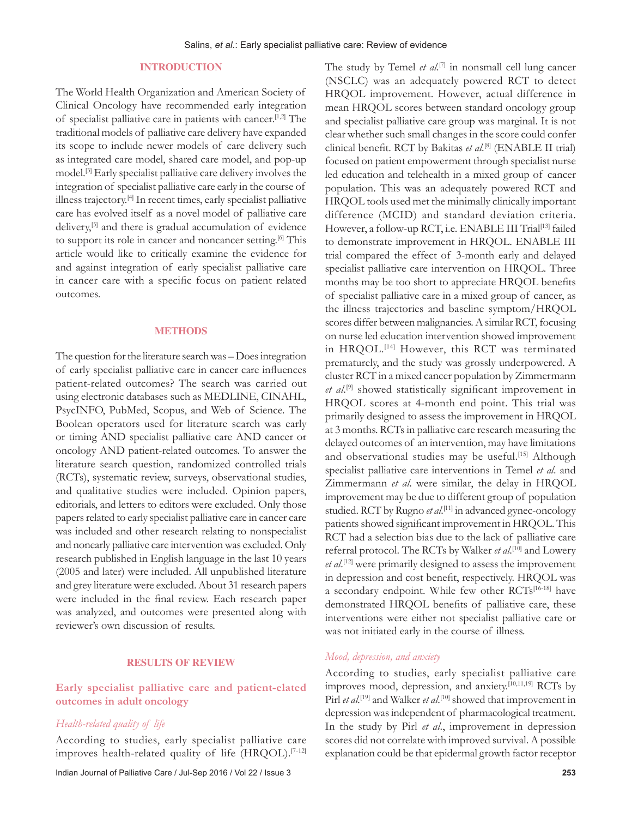# **INTRODUCTION**

The World Health Organization and American Society of Clinical Oncology have recommended early integration of specialist palliative care in patients with cancer.[1,2] The traditional models of palliative care delivery have expanded its scope to include newer models of care delivery such as integrated care model, shared care model, and pop‑up model.[3] Early specialist palliative care delivery involves the integration of specialist palliative care early in the course of illness trajectory.[4] In recent times, early specialist palliative care has evolved itself as a novel model of palliative care delivery,[5] and there is gradual accumulation of evidence to support its role in cancer and noncancer setting.<sup>[6]</sup> This article would like to critically examine the evidence for and against integration of early specialist palliative care in cancer care with a specific focus on patient related outcomes.

#### **METHODS**

The question for the literature search was – Does integration of early specialist palliative care in cancer care influences patient-related outcomes? The search was carried out using electronic databases such as MEDLINE, CINAHL, PsycINFO, PubMed, Scopus, and Web of Science. The Boolean operators used for literature search was early or timing AND specialist palliative care AND cancer or oncology AND patient‑related outcomes. To answer the literature search question, randomized controlled trials (RCTs), systematic review, surveys, observational studies, and qualitative studies were included. Opinion papers, editorials, and letters to editors were excluded. Only those papers related to early specialist palliative care in cancer care was included and other research relating to nonspecialist and nonearly palliative care intervention was excluded. Only research published in English language in the last 10 years (2005 and later) were included. All unpublished literature and grey literature were excluded. About 31 research papers were included in the final review. Each research paper was analyzed, and outcomes were presented along with reviewer's own discussion of results.

# **RESULTS OF REVIEW**

# Early specialist palliative care and patient-elated **outcomes in adult oncology**

# *Health‑related quality of life*

According to studies, early specialist palliative care improves health-related quality of life (HRQOL).<sup>[7-12]</sup>

The study by Temel *et al*. [7] in nonsmall cell lung cancer (NSCLC) was an adequately powered RCT to detect HRQOL improvement. However, actual difference in mean HRQOL scores between standard oncology group and specialist palliative care group was marginal. It is not clear whether such small changes in the score could confer clinical benefit. RCT by Bakitas *et al*. [8] (ENABLE II trial) focused on patient empowerment through specialist nurse led education and telehealth in a mixed group of cancer population. This was an adequately powered RCT and HRQOL tools used met the minimally clinically important difference (MCID) and standard deviation criteria. However, a follow-up RCT, i.e. ENABLE III Trial<sup>[13]</sup> failed to demonstrate improvement in HRQOL. ENABLE III trial compared the effect of 3‑month early and delayed specialist palliative care intervention on HRQOL. Three months may be too short to appreciate HRQOL benefits of specialist palliative care in a mixed group of cancer, as the illness trajectories and baseline symptom/HRQOL scores differ between malignancies. A similar RCT, focusing on nurse led education intervention showed improvement in HRQOL.[14] However, this RCT was terminated prematurely, and the study was grossly underpowered. A cluster RCT in a mixed cancer population by Zimmermann *et al*. [9] showed statistically significant improvement in HRQOL scores at 4‑month end point. This trial was primarily designed to assess the improvement in HRQOL at 3 months. RCTs in palliative care research measuring the delayed outcomes of an intervention, may have limitations and observational studies may be useful.<sup>[15]</sup> Although specialist palliative care interventions in Temel *et al*. and Zimmermann *et al*. were similar, the delay in HRQOL improvement may be due to different group of population studied. RCT by Rugno *et al*. [11] in advanced gynec‑oncology patients showed significant improvement in HRQOL. This RCT had a selection bias due to the lack of palliative care referral protocol. The RCTs by Walker *et al*. [10] and Lowery *et al*. [12] were primarily designed to assess the improvement in depression and cost benefit, respectively. HRQOL was a secondary endpoint. While few other RCTs[16-18] have demonstrated HRQOL benefits of palliative care, these interventions were either not specialist palliative care or was not initiated early in the course of illness.

#### *Mood, depression, and anxiety*

According to studies, early specialist palliative care improves mood, depression, and anxiety.[10,11,19] RCTs by Pirl *et al.*[19] and Walker *et al*. [10] showed that improvement in depression was independent of pharmacological treatment. In the study by Pirl *et al*., improvement in depression scores did not correlate with improved survival. A possible explanation could be that epidermal growth factor receptor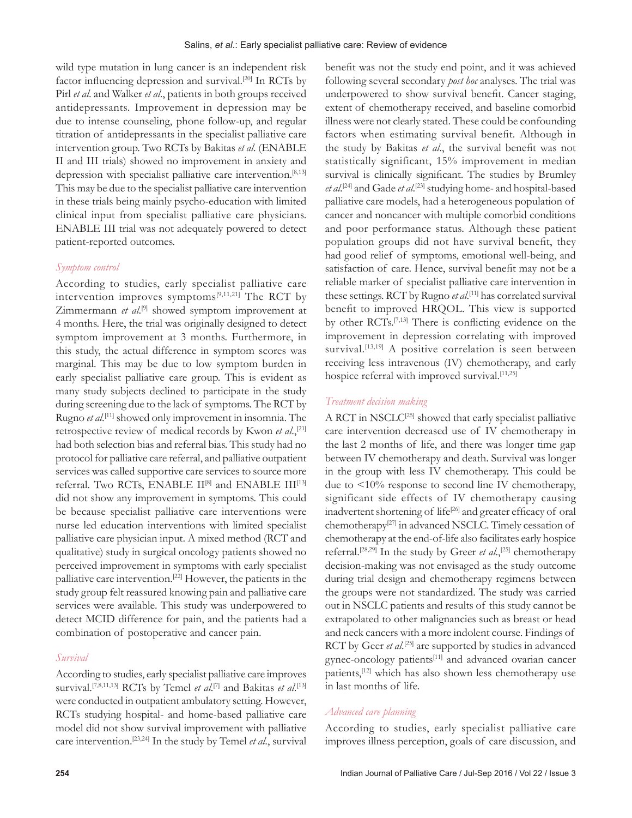wild type mutation in lung cancer is an independent risk factor influencing depression and survival.<sup>[20]</sup> In RCTs by Pirl *et al*. and Walker *et al*., patients in both groups received antidepressants. Improvement in depression may be due to intense counseling, phone follow‑up, and regular titration of antidepressants in the specialist palliative care intervention group. Two RCTs by Bakitas *et al*. (ENABLE II and III trials) showed no improvement in anxiety and depression with specialist palliative care intervention.<sup>[8,13]</sup> This may be due to the specialist palliative care intervention in these trials being mainly psycho‑education with limited clinical input from specialist palliative care physicians. ENABLE III trial was not adequately powered to detect patient‑reported outcomes.

#### *Symptom control*

According to studies, early specialist palliative care intervention improves symptoms<sup>[9,11,21]</sup> The RCT by Zimmermann *et al*. [9] showed symptom improvement at 4 months. Here, the trial was originally designed to detect symptom improvement at 3 months. Furthermore, in this study, the actual difference in symptom scores was marginal. This may be due to low symptom burden in early specialist palliative care group. This is evident as many study subjects declined to participate in the study during screening due to the lack of symptoms. The RCT by Rugno *et al*. [11] showed only improvement in insomnia. The retrospective review of medical records by Kwon *et al*.,[21] had both selection bias and referral bias. This study had no protocol for palliative care referral, and palliative outpatient services was called supportive care services to source more referral. Two RCTs, ENABLE II<sup>[8]</sup> and ENABLE III<sup>[13]</sup> did not show any improvement in symptoms. This could be because specialist palliative care interventions were nurse led education interventions with limited specialist palliative care physician input. A mixed method (RCT and qualitative) study in surgical oncology patients showed no perceived improvement in symptoms with early specialist palliative care intervention.[22] However, the patients in the study group felt reassured knowing pain and palliative care services were available. This study was underpowered to detect MCID difference for pain, and the patients had a combination of postoperative and cancer pain.

# *Survival*

According to studies, early specialist palliative care improves survival.[7,8,11,13] RCTs by Temel *et al*. [7] and Bakitas *et al*. [13] were conducted in outpatient ambulatory setting. However, RCTs studying hospital- and home-based palliative care model did not show survival improvement with palliative care intervention.[23,24] In the study by Temel *et al*., survival benefit was not the study end point, and it was achieved following several secondary *post hoc* analyses. The trial was underpowered to show survival benefit. Cancer staging, extent of chemotherapy received, and baseline comorbid illness were not clearly stated. These could be confounding factors when estimating survival benefit. Although in the study by Bakitas *et al*., the survival benefit was not statistically significant, 15% improvement in median survival is clinically significant. The studies by Brumley *et al*. [24] and Gade *et al*. [23] studying home‑ and hospital‑based palliative care models, had a heterogeneous population of cancer and noncancer with multiple comorbid conditions and poor performance status. Although these patient population groups did not have survival benefit, they had good relief of symptoms, emotional well-being, and satisfaction of care. Hence, survival benefit may not be a reliable marker of specialist palliative care intervention in these settings. RCT by Rugno *et al*. [11] has correlated survival benefit to improved HRQOL. This view is supported by other RCTs.[7,13] There is conflicting evidence on the improvement in depression correlating with improved survival.<sup>[13,19]</sup> A positive correlation is seen between receiving less intravenous (IV) chemotherapy, and early hospice referral with improved survival.<sup>[11,25]</sup>

# *Treatment decision making*

A RCT in NSCLC[25] showed that early specialist palliative care intervention decreased use of IV chemotherapy in the last 2 months of life, and there was longer time gap between IV chemotherapy and death. Survival was longer in the group with less IV chemotherapy. This could be due to <10% response to second line IV chemotherapy, significant side effects of IV chemotherapy causing inadvertent shortening of life<sup>[26]</sup> and greater efficacy of oral chemotherapy[27] in advanced NSCLC. Timely cessation of chemotherapy at the end‑of‑life also facilitates early hospice referral.[28,29] In the study by Greer *et al*.,[25] chemotherapy decision‑making was not envisaged as the study outcome during trial design and chemotherapy regimens between the groups were not standardized. The study was carried out in NSCLC patients and results of this study cannot be extrapolated to other malignancies such as breast or head and neck cancers with a more indolent course. Findings of RCT by Geer *et al.*<sup>[25]</sup> are supported by studies in advanced gynec-oncology patients<sup>[11]</sup> and advanced ovarian cancer patients,[12] which has also shown less chemotherapy use in last months of life.

# *Advanced care planning*

According to studies, early specialist palliative care improves illness perception, goals of care discussion, and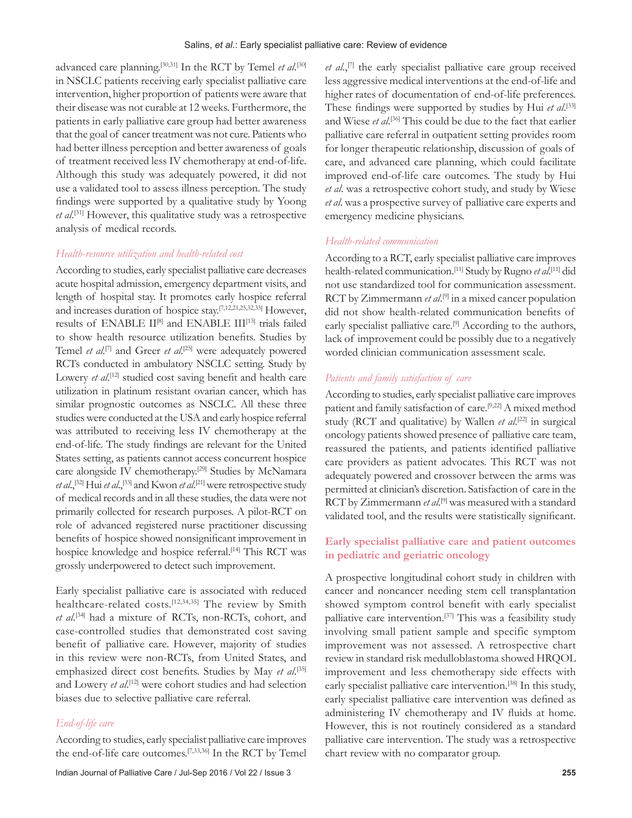advanced care planning.<sup>[30,31]</sup> In the RCT by Temel *et al*.<sup>[30]</sup> in NSCLC patients receiving early specialist palliative care intervention, higher proportion of patients were aware that their disease was not curable at 12 weeks. Furthermore, the patients in early palliative care group had better awareness that the goal of cancer treatment was not cure. Patients who had better illness perception and better awareness of goals of treatment received less IV chemotherapy at end‑of‑life. Although this study was adequately powered, it did not use a validated tool to assess illness perception. The study findings were supported by a qualitative study by Yoong *et al*. [31] However, this qualitative study was a retrospective analysis of medical records.

#### *Health‑resource utilization and health‑related cost*

According to studies, early specialist palliative care decreases acute hospital admission, emergency department visits, and length of hospital stay. It promotes early hospice referral and increases duration of hospice stay.[7,12,21,25,32,33] However, results of ENABLE II<sup>[8]</sup> and ENABLE III<sup>[13]</sup> trials failed to show health resource utilization benefits. Studies by Temel *et al*. [7] and Greer *et al*. [25] were adequately powered RCTs conducted in ambulatory NSCLC setting. Study by Lowery *et al.*<sup>[12]</sup> studied cost saving benefit and health care utilization in platinum resistant ovarian cancer, which has similar prognostic outcomes as NSCLC. All these three studies were conducted at the USA and early hospice referral was attributed to receiving less IV chemotherapy at the end‑of‑life. The study findings are relevant for the United States setting, as patients cannot access concurrent hospice care alongside IV chemotherapy.<sup>[29]</sup> Studies by McNamara *et al*.,[32] Hui *et al*.,[33] and Kwon *et al*. [21] were retrospective study of medical records and in all these studies, the data were not primarily collected for research purposes. A pilot‑RCT on role of advanced registered nurse practitioner discussing benefits of hospice showed nonsignificant improvement in hospice knowledge and hospice referral.<sup>[14]</sup> This RCT was grossly underpowered to detect such improvement.

Early specialist palliative care is associated with reduced healthcare-related costs.<sup>[12,34,35]</sup> The review by Smith *et al*. [34] had a mixture of RCTs, non‑RCTs, cohort, and case‑controlled studies that demonstrated cost saving benefit of palliative care. However, majority of studies in this review were non‑RCTs, from United States, and emphasized direct cost benefits. Studies by May *et al.*<sup>[35]</sup> and Lowery *et al*. [12] were cohort studies and had selection biases due to selective palliative care referral.

# *End‑of‑life care*

According to studies, early specialist palliative care improves the end-of-life care outcomes.<sup>[7,33,36]</sup> In the RCT by Temel *et al*.,[7] the early specialist palliative care group received less aggressive medical interventions at the end‑of‑life and higher rates of documentation of end-of-life preferences. These findings were supported by studies by Hui *et al*. [33] and Wiese *et al*. [36] This could be due to the fact that earlier palliative care referral in outpatient setting provides room for longer therapeutic relationship, discussion of goals of care, and advanced care planning, which could facilitate improved end-of-life care outcomes. The study by Hui *et al*. was a retrospective cohort study, and study by Wiese *et al*. was a prospective survey of palliative care experts and emergency medicine physicians.

# *Health‑related communication*

According to a RCT, early specialist palliative care improves health‑related communication.[11] Study by Rugno *et al*. [11] did not use standardized tool for communication assessment. RCT by Zimmermann *et al*. [9] in a mixed cancer population did not show health-related communication benefits of early specialist palliative care.<sup>[9]</sup> According to the authors, lack of improvement could be possibly due to a negatively worded clinician communication assessment scale.

#### *Patients and family satisfaction of care*

According to studies, early specialist palliative care improves patient and family satisfaction of care.[9,22] A mixed method study (RCT and qualitative) by Wallen *et al.*<sup>[22]</sup> in surgical oncology patients showed presence of palliative care team, reassured the patients, and patients identified palliative care providers as patient advocates. This RCT was not adequately powered and crossover between the arms was permitted at clinician's discretion. Satisfaction of care in the RCT by Zimmermann *et al*. [9] was measured with a standard validated tool, and the results were statistically significant.

# **Early specialist palliative care and patient outcomes in pediatric and geriatric oncology**

A prospective longitudinal cohort study in children with cancer and noncancer needing stem cell transplantation showed symptom control benefit with early specialist palliative care intervention.<sup>[37]</sup> This was a feasibility study involving small patient sample and specific symptom improvement was not assessed. A retrospective chart review in standard risk medulloblastoma showed HRQOL improvement and less chemotherapy side effects with early specialist palliative care intervention.<sup>[38]</sup> In this study, early specialist palliative care intervention was defined as administering IV chemotherapy and IV fluids at home. However, this is not routinely considered as a standard palliative care intervention. The study was a retrospective chart review with no comparator group.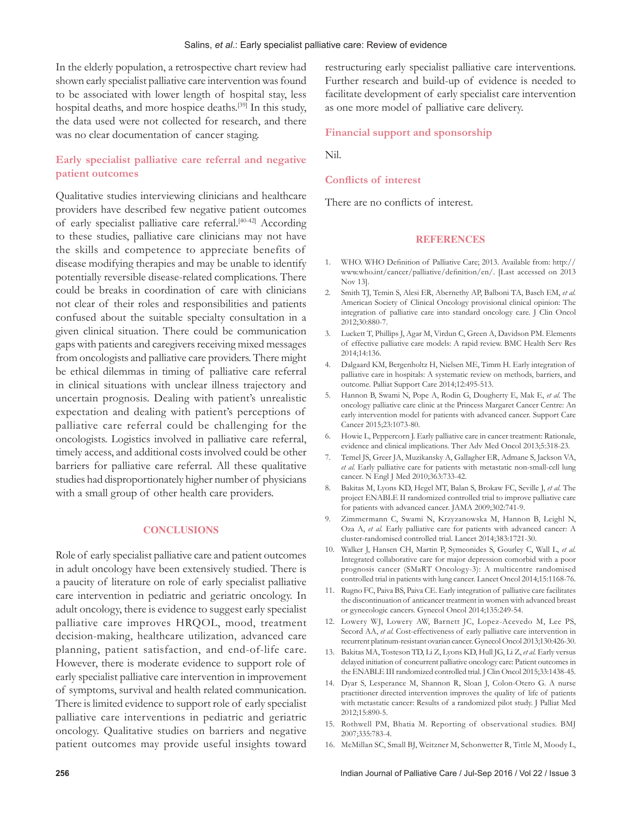In the elderly population, a retrospective chart review had shown early specialist palliative care intervention was found to be associated with lower length of hospital stay, less hospital deaths, and more hospice deaths.<sup>[39]</sup> In this study, the data used were not collected for research, and there was no clear documentation of cancer staging.

# **Early specialist palliative care referral and negative patient outcomes**

Qualitative studies interviewing clinicians and healthcare providers have described few negative patient outcomes of early specialist palliative care referral.<sup>[40-42]</sup> According to these studies, palliative care clinicians may not have the skills and competence to appreciate benefits of disease modifying therapies and may be unable to identify potentially reversible disease‑related complications. There could be breaks in coordination of care with clinicians not clear of their roles and responsibilities and patients confused about the suitable specialty consultation in a given clinical situation. There could be communication gaps with patients and caregivers receiving mixed messages from oncologists and palliative care providers. There might be ethical dilemmas in timing of palliative care referral in clinical situations with unclear illness trajectory and uncertain prognosis. Dealing with patient's unrealistic expectation and dealing with patient's perceptions of palliative care referral could be challenging for the oncologists. Logistics involved in palliative care referral, timely access, and additional costs involved could be other barriers for palliative care referral. All these qualitative studies had disproportionately higher number of physicians with a small group of other health care providers.

#### **CONCLUSIONS**

Role of early specialist palliative care and patient outcomes in adult oncology have been extensively studied. There is a paucity of literature on role of early specialist palliative care intervention in pediatric and geriatric oncology. In adult oncology, there is evidence to suggest early specialist palliative care improves HRQOL, mood, treatment decision‑making, healthcare utilization, advanced care planning, patient satisfaction, and end‑of‑life care. However, there is moderate evidence to support role of early specialist palliative care intervention in improvement of symptoms, survival and health related communication. There is limited evidence to support role of early specialist palliative care interventions in pediatric and geriatric oncology. Qualitative studies on barriers and negative patient outcomes may provide useful insights toward

restructuring early specialist palliative care interventions. Further research and build-up of evidence is needed to facilitate development of early specialist care intervention as one more model of palliative care delivery.

#### **Financial support and sponsorship**

Nil.

#### **Conflicts of interest**

There are no conflicts of interest.

#### **REFERENCES**

- 1. WHO. WHO Definition of Palliative Care; 2013. Available from: http:// www.who.int/cancer/palliative/definition/en/. [Last accessed on 2013 Nov 13].
- 2. Smith TJ, Temin S, Alesi ER, Abernethy AP, Balboni TA, Basch EM, *et al.* American Society of Clinical Oncology provisional clinical opinion: The integration of palliative care into standard oncology care. J Clin Oncol 2012;30:880‑7.
- 3. Luckett T, Phillips J, Agar M, Virdun C, Green A, Davidson PM. Elements of effective palliative care models: A rapid review. BMC Health Serv Res 2014;14:136.
- 4. Dalgaard KM, Bergenholtz H, Nielsen ME, Timm H. Early integration of palliative care in hospitals: A systematic review on methods, barriers, and outcome. Palliat Support Care 2014;12:495‑513.
- 5. Hannon B, Swami N, Pope A, Rodin G, Dougherty E, Mak E, *et al.* The oncology palliative care clinic at the Princess Margaret Cancer Centre: An early intervention model for patients with advanced cancer. Support Care Cancer 2015;23:1073‑80.
- 6. Howie L, Peppercorn J. Early palliative care in cancer treatment: Rationale, evidence and clinical implications. Ther Adv Med Oncol 2013;5:318-23.
- 7. Temel JS, Greer JA, Muzikansky A, Gallagher ER, Admane S, Jackson VA, et al. Early palliative care for patients with metastatic non-small-cell lung cancer. N Engl J Med 2010;363:733‑42.
- 8. Bakitas M, Lyons KD, Hegel MT, Balan S, Brokaw FC, Seville J, *et al*. The project ENABLE II randomized controlled trial to improve palliative care for patients with advanced cancer. JAMA 2009;302:741‑9.
- 9. Zimmermann C, Swami N, Krzyzanowska M, Hannon B, Leighl N, Oza A, *et al.* Early palliative care for patients with advanced cancer: A cluster-randomised controlled trial. Lancet 2014;383:1721-30.
- 10. Walker J, Hansen CH, Martin P, Symeonides S, Gourley C, Wall L, *et al.* Integrated collaborative care for major depression comorbid with a poor prognosis cancer (SMaRT Oncology‑3): A multicentre randomised controlled trial in patients with lung cancer. Lancet Oncol 2014;15:1168-76.
- 11. Rugno FC, Paiva BS, Paiva CE. Early integration of palliative care facilitates the discontinuation of anticancer treatment in women with advanced breast or gynecologic cancers. Gynecol Oncol 2014;135:249‑54.
- 12. Lowery WJ, Lowery AW, Barnett JC, Lopez‑Acevedo M, Lee PS, Secord AA, et al. Cost-effectiveness of early palliative care intervention in recurrent platinum-resistant ovarian cancer. Gynecol Oncol 2013;130:426-30.
- 13. Bakitas MA, Tosteson TD, Li Z, Lyons KD, Hull JG, Li Z, *et al.* Early versus delayed initiation of concurrent palliative oncology care: Patient outcomes in the ENABLE III randomized controlled trial. J Clin Oncol 2015;33:1438-45.
- 14. Dyar S, Lesperance M, Shannon R, Sloan J, Colon‑Otero G. A nurse practitioner directed intervention improves the quality of life of patients with metastatic cancer: Results of a randomized pilot study. J Palliat Med 2012;15:890‑5.
- 15. Rothwell PM, Bhatia M. Reporting of observational studies. BMJ 2007;335:783‑4.
- 16. McMillan SC, Small BJ, Weitzner M, Schonwetter R, Tittle M, Moody L,